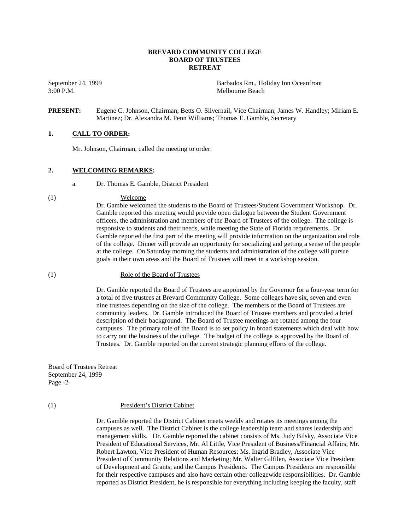## **BREVARD COMMUNITY COLLEGE BOARD OF TRUSTEES RETREAT**

3:00 P.M. Melbourne Beach

September 24, 1999 Barbados Rm., Holiday Inn Oceanfront

## **PRESENT:** Eugene C. Johnson, Chairman; Betts O. Silvernail, Vice Chairman; James W. Handley; Miriam E. Martinez; Dr. Alexandra M. Penn Williams; Thomas E. Gamble, Secretary

## **1. CALL TO ORDER:**

Mr. Johnson, Chairman, called the meeting to order.

## **2. WELCOMING REMARKS:**

a. Dr. Thomas E. Gamble, District President

#### (1) Welcome

Dr. Gamble welcomed the students to the Board of Trustees/Student Government Workshop. Dr. Gamble reported this meeting would provide open dialogue between the Student Government officers, the administration and members of the Board of Trustees of the college. The college is responsive to students and their needs, while meeting the State of Florida requirements. Dr. Gamble reported the first part of the meeting will provide information on the organization and role of the college. Dinner will provide an opportunity for socializing and getting a sense of the people at the college. On Saturday morning the students and administration of the college will pursue goals in their own areas and the Board of Trustees will meet in a workshop session.

#### (1) Role of the Board of Trustees

Dr. Gamble reported the Board of Trustees are appointed by the Governor for a four-year term for a total of five trustees at Brevard Community College. Some colleges have six, seven and even nine trustees depending on the size of the college. The members of the Board of Trustees are community leaders. Dr. Gamble introduced the Board of Trustee members and provided a brief description of their background. The Board of Trustee meetings are rotated among the four campuses. The primary role of the Board is to set policy in broad statements which deal with how to carry out the business of the college. The budget of the college is approved by the Board of Trustees. Dr. Gamble reported on the current strategic planning efforts of the college.

Board of Trustees Retreat September 24, 1999 Page -2-

#### (1) President's District Cabinet

Dr. Gamble reported the District Cabinet meets weekly and rotates its meetings among the campuses as well. The District Cabinet is the college leadership team and shares leadership and management skills. Dr. Gamble reported the cabinet consists of Ms. Judy Bilsky, Associate Vice President of Educational Services, Mr. Al Little, Vice President of Business/Financial Affairs; Mr. Robert Lawton, Vice President of Human Resources; Ms. Ingrid Bradley, Associate Vice President of Community Relations and Marketing; Mr. Walter Gilfilen, Associate Vice President of Development and Grants; and the Campus Presidents. The Campus Presidents are responsible for their respective campuses and also have certain other collegewide responsibilities. Dr. Gamble reported as District President, he is responsible for everything including keeping the faculty, staff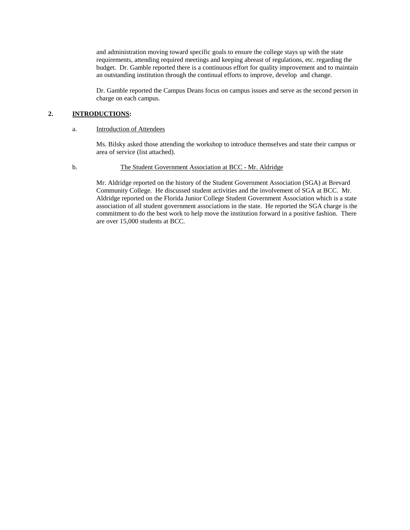and administration moving toward specific goals to ensure the college stays up with the state requirements, attending required meetings and keeping abreast of regulations, etc. regarding the budget. Dr. Gamble reported there is a continuous effort for quality improvement and to maintain an outstanding institution through the continual efforts to improve, develop and change.

Dr. Gamble reported the Campus Deans focus on campus issues and serve as the second person in charge on each campus.

## **2. INTRODUCTIONS:**

## a. Introduction of Attendees

Ms. Bilsky asked those attending the workshop to introduce themselves and state their campus or area of service (list attached).

## b. The Student Government Association at BCC - Mr. Aldridge

 Mr. Aldridge reported on the history of the Student Government Association (SGA) at Brevard Community College. He discussed student activities and the involvement of SGA at BCC. Mr. Aldridge reported on the Florida Junior College Student Government Association which is a state association of all student government associations in the state. He reported the SGA charge is the commitment to do the best work to help move the institution forward in a positive fashion. There are over 15,000 students at BCC.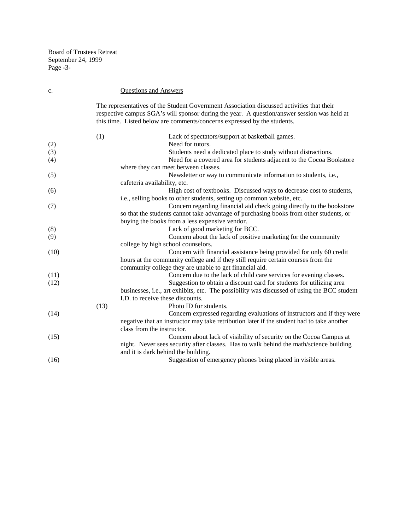Board of Trustees Retreat September 24, 1999 Page -3-

| c.   |      | <b>Questions and Answers</b>                                                                                                                                                                                                                                         |
|------|------|----------------------------------------------------------------------------------------------------------------------------------------------------------------------------------------------------------------------------------------------------------------------|
|      |      | The representatives of the Student Government Association discussed activities that their<br>respective campus SGA's will sponsor during the year. A question/answer session was held at<br>this time. Listed below are comments/concerns expressed by the students. |
|      | (1)  | Lack of spectators/support at basketball games.                                                                                                                                                                                                                      |
| (2)  |      | Need for tutors.                                                                                                                                                                                                                                                     |
| (3)  |      | Students need a dedicated place to study without distractions.                                                                                                                                                                                                       |
| (4)  |      | Need for a covered area for students adjacent to the Cocoa Bookstore                                                                                                                                                                                                 |
|      |      | where they can meet between classes.                                                                                                                                                                                                                                 |
| (5)  |      | Newsletter or way to communicate information to students, i.e.,                                                                                                                                                                                                      |
|      |      | cafeteria availability, etc.                                                                                                                                                                                                                                         |
| (6)  |      | High cost of textbooks. Discussed ways to decrease cost to students,                                                                                                                                                                                                 |
|      |      | i.e., selling books to other students, setting up common website, etc.                                                                                                                                                                                               |
| (7)  |      | Concern regarding financial aid check going directly to the bookstore                                                                                                                                                                                                |
|      |      | so that the students cannot take advantage of purchasing books from other students, or                                                                                                                                                                               |
|      |      | buying the books from a less expensive vendor.                                                                                                                                                                                                                       |
| (8)  |      | Lack of good marketing for BCC.                                                                                                                                                                                                                                      |
| (9)  |      | Concern about the lack of positive marketing for the community                                                                                                                                                                                                       |
|      |      | college by high school counselors.                                                                                                                                                                                                                                   |
| (10) |      | Concern with financial assistance being provided for only 60 credit                                                                                                                                                                                                  |
|      |      | hours at the community college and if they still require certain courses from the                                                                                                                                                                                    |
|      |      | community college they are unable to get financial aid.                                                                                                                                                                                                              |
| (11) |      | Concern due to the lack of child care services for evening classes.                                                                                                                                                                                                  |
| (12) |      | Suggestion to obtain a discount card for students for utilizing area                                                                                                                                                                                                 |
|      |      | businesses, i.e., art exhibits, etc. The possibility was discussed of using the BCC student                                                                                                                                                                          |
|      |      | I.D. to receive these discounts.                                                                                                                                                                                                                                     |
|      | (13) | Photo ID for students.                                                                                                                                                                                                                                               |
| (14) |      | Concern expressed regarding evaluations of instructors and if they were                                                                                                                                                                                              |
|      |      | negative that an instructor may take retribution later if the student had to take another                                                                                                                                                                            |
|      |      | class from the instructor.                                                                                                                                                                                                                                           |
| (15) |      | Concern about lack of visibility of security on the Cocoa Campus at                                                                                                                                                                                                  |
|      |      | night. Never sees security after classes. Has to walk behind the math/science building                                                                                                                                                                               |
|      |      | and it is dark behind the building.                                                                                                                                                                                                                                  |
| (16) |      | Suggestion of emergency phones being placed in visible areas.                                                                                                                                                                                                        |
|      |      |                                                                                                                                                                                                                                                                      |